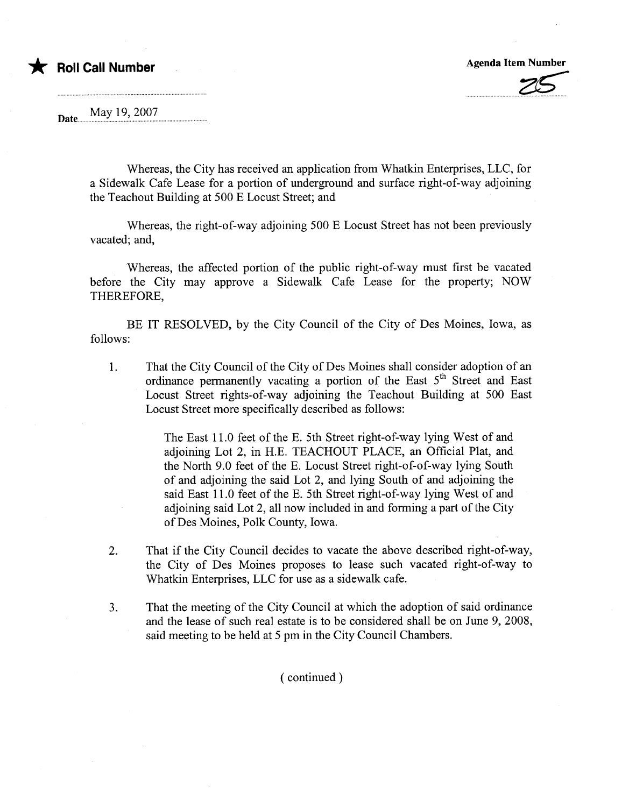## \* Roll Call Number Agenda Item Number Agenda Item Number

May 19, 2007 Date...

> Whereas, the City has received an application from Whatkin Enterprises, LLC, for a Sidewalk Cafe Lease for a portion of underground and surface right-of-way adjoining the Teachout Building at 500 E Locust Street; and

> Whereas, the right-of-way adjoining 500 E Locust Street has not been previously vacated; and,

> Whereas, the affected portion of the public right-of-way must first be vacated before the City may approve a Sidewalk Cafe Lease for the property; NOW THEREFORE,

> BE IT RESOLVED, by the City Council of the City of Des Moines, Iowa, as follows:

1. That the City Council of the City of Des Moines shall consider adoption of an ordinance permanently vacating a portion of the East 5<sup>th</sup> Street and East Locust Street rights-of-way adjoining the Teachout Building at 500 East Locust Street more specifically described as follows:

> The East 11.0 feet of the E. 5th Street right-of-way lying West of and adjoining Lot 2, in H.E. TEACHOUT PLACE, an Official Plat, and the North 9.0 feet of the E. Locust Street right-of-of-way lying South of and adjoining the said Lot 2, and lying South of and adjoining the said East 11.0 feet of the E. 5th Street right-of-way lying West of and adjoining said Lot 2, all now included in and forming a part of the City of Des Moines, Polk County, Iowa.

- 2. That if the City Council decides to vacate the above described right-of-way, the City of Des Moines proposes to lease such vacated right-of-way to Whatkin Enterprises, LLC for use as a sidewalk cafe.
- 3. That the meeting of the City Council at which the adoption of said ordinance and the lease of such real estate is to be considered shall be on June 9, 2008, said meeting to be held at 5 pm in the City Council Chambers.

( continued)